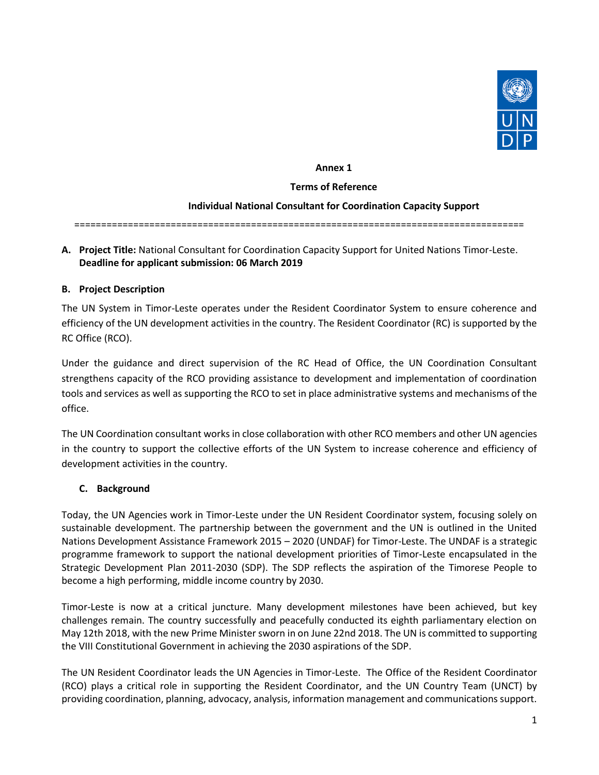

#### **Annex 1**

#### **Terms of Reference**

#### **Individual National Consultant for Coordination Capacity Support**

====================================================================================

#### **A. Project Title:** National Consultant for Coordination Capacity Support for United Nations Timor-Leste. **Deadline for applicant submission: 06 March 2019**

#### **B. Project Description**

The UN System in Timor-Leste operates under the Resident Coordinator System to ensure coherence and efficiency of the UN development activities in the country. The Resident Coordinator (RC) is supported by the RC Office (RCO).

Under the guidance and direct supervision of the RC Head of Office, the UN Coordination Consultant strengthens capacity of the RCO providing assistance to development and implementation of coordination tools and services as well as supporting the RCO to set in place administrative systems and mechanisms of the office.

The UN Coordination consultant works in close collaboration with other RCO members and other UN agencies in the country to support the collective efforts of the UN System to increase coherence and efficiency of development activities in the country.

#### **C. Background**

Today, the UN Agencies work in Timor-Leste under the UN Resident Coordinator system, focusing solely on sustainable development. The partnership between the government and the UN is outlined in the United Nations Development Assistance Framework 2015 – 2020 (UNDAF) for Timor-Leste. The UNDAF is a strategic programme framework to support the national development priorities of Timor-Leste encapsulated in the Strategic Development Plan 2011-2030 (SDP). The SDP reflects the aspiration of the Timorese People to become a high performing, middle income country by 2030.

Timor-Leste is now at a critical juncture. Many development milestones have been achieved, but key challenges remain. The country successfully and peacefully conducted its eighth parliamentary election on May 12th 2018, with the new Prime Minister sworn in on June 22nd 2018. The UN is committed to supporting the VIII Constitutional Government in achieving the 2030 aspirations of the SDP.

The UN Resident Coordinator leads the UN Agencies in Timor-Leste. The Office of the Resident Coordinator (RCO) plays a critical role in supporting the Resident Coordinator, and the UN Country Team (UNCT) by providing coordination, planning, advocacy, analysis, information management and communications support.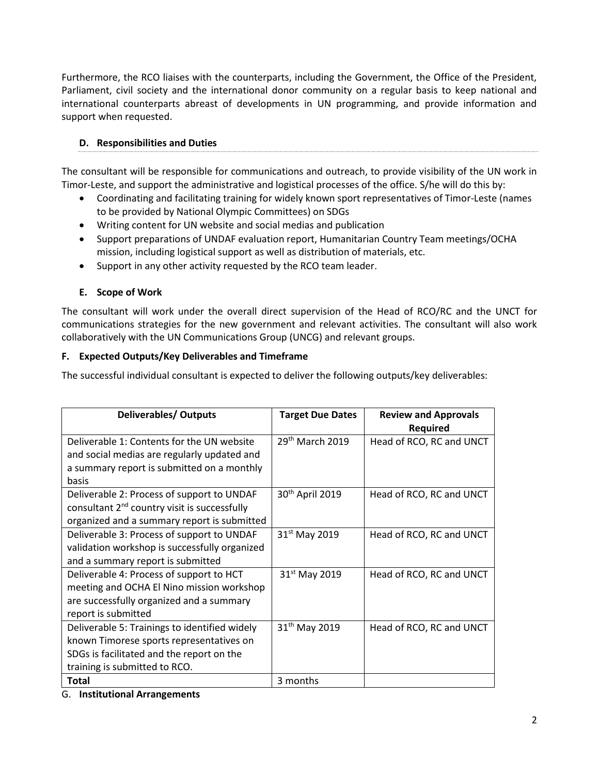Furthermore, the RCO liaises with the counterparts, including the Government, the Office of the President, Parliament, civil society and the international donor community on a regular basis to keep national and international counterparts abreast of developments in UN programming, and provide information and support when requested.

# **D. Responsibilities and Duties**

The consultant will be responsible for communications and outreach, to provide visibility of the UN work in Timor-Leste, and support the administrative and logistical processes of the office. S/he will do this by:

- Coordinating and facilitating training for widely known sport representatives of Timor-Leste (names to be provided by National Olympic Committees) on SDGs
- Writing content for UN website and social medias and publication
- Support preparations of UNDAF evaluation report, Humanitarian Country Team meetings/OCHA mission, including logistical support as well as distribution of materials, etc.
- Support in any other activity requested by the RCO team leader.

## **E. Scope of Work**

The consultant will work under the overall direct supervision of the Head of RCO/RC and the UNCT for communications strategies for the new government and relevant activities. The consultant will also work collaboratively with the UN Communications Group (UNCG) and relevant groups.

## **F. Expected Outputs/Key Deliverables and Timeframe**

The successful individual consultant is expected to deliver the following outputs/key deliverables:

| <b>Deliverables/ Outputs</b>                             | <b>Target Due Dates</b>     | <b>Review and Approvals</b><br>Required |
|----------------------------------------------------------|-----------------------------|-----------------------------------------|
| Deliverable 1: Contents for the UN website               | $29th$ March 2019           | Head of RCO, RC and UNCT                |
| and social medias are regularly updated and              |                             |                                         |
| a summary report is submitted on a monthly               |                             |                                         |
| basis                                                    |                             |                                         |
| Deliverable 2: Process of support to UNDAF               | 30 <sup>th</sup> April 2019 | Head of RCO, RC and UNCT                |
| consultant 2 <sup>nd</sup> country visit is successfully |                             |                                         |
| organized and a summary report is submitted              |                             |                                         |
| Deliverable 3: Process of support to UNDAF               | 31 <sup>st</sup> May 2019   | Head of RCO, RC and UNCT                |
| validation workshop is successfully organized            |                             |                                         |
| and a summary report is submitted                        |                             |                                         |
| Deliverable 4: Process of support to HCT                 | $31st$ May 2019             | Head of RCO, RC and UNCT                |
| meeting and OCHA El Nino mission workshop                |                             |                                         |
| are successfully organized and a summary                 |                             |                                         |
| report is submitted                                      |                             |                                         |
| Deliverable 5: Trainings to identified widely            | 31 <sup>th</sup> May 2019   | Head of RCO, RC and UNCT                |
| known Timorese sports representatives on                 |                             |                                         |
| SDGs is facilitated and the report on the                |                             |                                         |
| training is submitted to RCO.                            |                             |                                         |
| <b>Total</b>                                             | 3 months                    |                                         |

G. **Institutional Arrangements**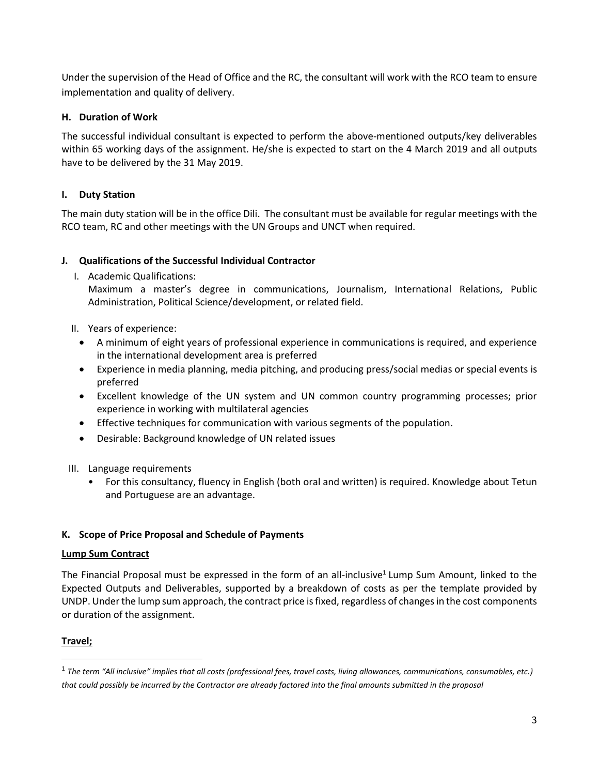Under the supervision of the Head of Office and the RC, the consultant will work with the RCO team to ensure implementation and quality of delivery.

## **H. Duration of Work**

The successful individual consultant is expected to perform the above-mentioned outputs/key deliverables within 65 working days of the assignment. He/she is expected to start on the 4 March 2019 and all outputs have to be delivered by the 31 May 2019.

## **I. Duty Station**

The main duty station will be in the office Dili. The consultant must be available for regular meetings with the RCO team, RC and other meetings with the UN Groups and UNCT when required.

## **J. Qualifications of the Successful Individual Contractor**

I. Academic Qualifications:

Maximum a master's degree in communications, Journalism, International Relations, Public Administration, Political Science/development, or related field.

- II. Years of experience:
	- A minimum of eight years of professional experience in communications is required, and experience in the international development area is preferred
	- Experience in media planning, media pitching, and producing press/social medias or special events is preferred
	- Excellent knowledge of the UN system and UN common country programming processes; prior experience in working with multilateral agencies
	- Effective techniques for communication with various segments of the population.
	- Desirable: Background knowledge of UN related issues
- III. Language requirements
	- For this consultancy, fluency in English (both oral and written) is required. Knowledge about Tetun and Portuguese are an advantage.

## **K. Scope of Price Proposal and Schedule of Payments**

## **Lump Sum Contract**

The Financial Proposal must be expressed in the form of an all-inclusive<sup>1</sup> Lump Sum Amount, linked to the Expected Outputs and Deliverables, supported by a breakdown of costs as per the template provided by UNDP. Under the lump sum approach, the contract price is fixed, regardless of changes in the cost components or duration of the assignment.

## **Travel;**

 $\overline{\phantom{a}}$ 

<sup>1</sup> *The term "All inclusive" implies that all costs (professional fees, travel costs, living allowances, communications, consumables, etc.) that could possibly be incurred by the Contractor are already factored into the final amounts submitted in the proposal*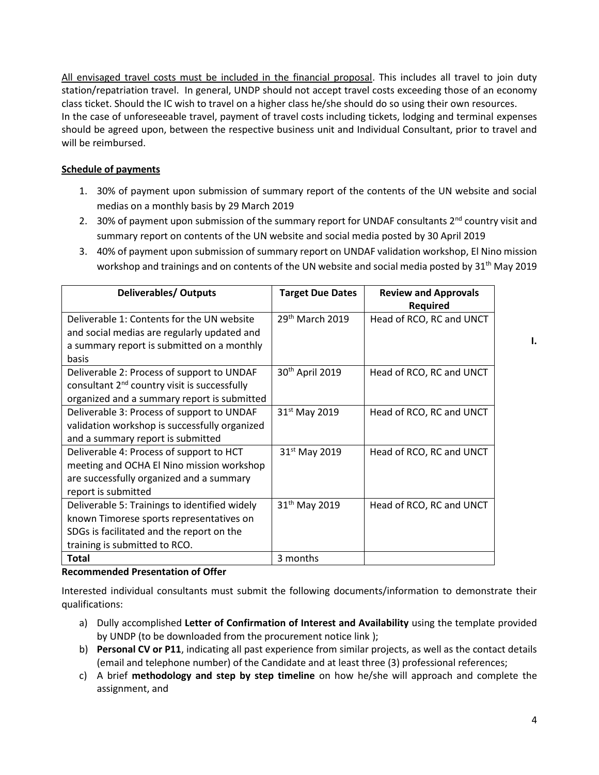All envisaged travel costs must be included in the financial proposal. This includes all travel to join duty station/repatriation travel. In general, UNDP should not accept travel costs exceeding those of an economy class ticket. Should the IC wish to travel on a higher class he/she should do so using their own resources. In the case of unforeseeable travel, payment of travel costs including tickets, lodging and terminal expenses should be agreed upon, between the respective business unit and Individual Consultant, prior to travel and will be reimbursed.

## **Schedule of payments**

- 1. 30% of payment upon submission of summary report of the contents of the UN website and social medias on a monthly basis by 29 March 2019
- 2. 30% of payment upon submission of the summary report for UNDAF consultants  $2^{nd}$  country visit and summary report on contents of the UN website and social media posted by 30 April 2019
- 3. 40% of payment upon submission of summary report on UNDAF validation workshop, El Nino mission workshop and trainings and on contents of the UN website and social media posted by 31<sup>th</sup> May 2019

| <b>Deliverables/ Outputs</b>                             | <b>Target Due Dates</b>     | <b>Review and Approvals</b><br><b>Required</b> |
|----------------------------------------------------------|-----------------------------|------------------------------------------------|
| Deliverable 1: Contents for the UN website               | $29th$ March 2019           | Head of RCO, RC and UNCT                       |
| and social medias are regularly updated and              |                             |                                                |
| a summary report is submitted on a monthly               |                             |                                                |
| basis                                                    |                             |                                                |
| Deliverable 2: Process of support to UNDAF               | 30 <sup>th</sup> April 2019 | Head of RCO, RC and UNCT                       |
| consultant 2 <sup>nd</sup> country visit is successfully |                             |                                                |
| organized and a summary report is submitted              |                             |                                                |
| Deliverable 3: Process of support to UNDAF               | $31st$ May 2019             | Head of RCO, RC and UNCT                       |
| validation workshop is successfully organized            |                             |                                                |
| and a summary report is submitted                        |                             |                                                |
| Deliverable 4: Process of support to HCT                 | $31st$ May 2019             | Head of RCO, RC and UNCT                       |
| meeting and OCHA El Nino mission workshop                |                             |                                                |
| are successfully organized and a summary                 |                             |                                                |
| report is submitted                                      |                             |                                                |
| Deliverable 5: Trainings to identified widely            | 31 <sup>th</sup> May 2019   | Head of RCO, RC and UNCT                       |
| known Timorese sports representatives on                 |                             |                                                |
| SDGs is facilitated and the report on the                |                             |                                                |
| training is submitted to RCO.                            |                             |                                                |
| Total                                                    | 3 months                    |                                                |

## **Recommended Presentation of Offer**

Interested individual consultants must submit the following documents/information to demonstrate their qualifications:

- a) Dully accomplished **Letter of Confirmation of Interest and Availability** using the template provided by UNDP (to be downloaded from the procurement notice link );
- b) **Personal CV or P11**, indicating all past experience from similar projects, as well as the contact details (email and telephone number) of the Candidate and at least three (3) professional references;
- c) A brief **methodology and step by step timeline** on how he/she will approach and complete the assignment, and

**I.**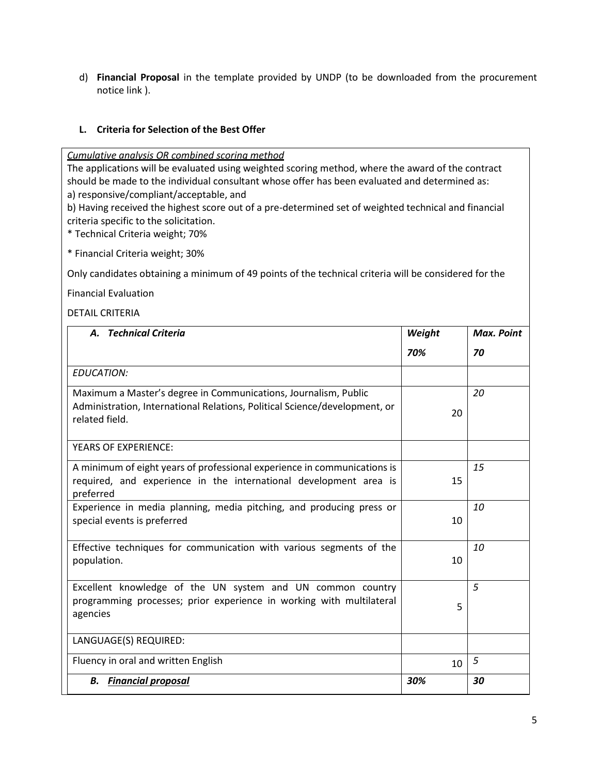d) **Financial Proposal** in the template provided by UNDP (to be downloaded from the procurement notice link ).

#### **L. Criteria for Selection of the Best Offer**

*Cumulative analysis OR combined scoring method*

The applications will be evaluated using weighted scoring method, where the award of the contract should be made to the individual consultant whose offer has been evaluated and determined as: a) responsive/compliant/acceptable, and

b) Having received the highest score out of a pre-determined set of weighted technical and financial criteria specific to the solicitation.

\* Technical Criteria weight; 70%

\* Financial Criteria weight; 30%

Only candidates obtaining a minimum of 49 points of the technical criteria will be considered for the

Financial Evaluation

#### DETAIL CRITERIA

| <b>Technical Criteria</b><br>А.                                                                                                                                 | Weight          | <b>Max. Point</b> |
|-----------------------------------------------------------------------------------------------------------------------------------------------------------------|-----------------|-------------------|
|                                                                                                                                                                 | 70%             | 70                |
| <b>EDUCATION:</b>                                                                                                                                               |                 |                   |
| Maximum a Master's degree in Communications, Journalism, Public<br>Administration, International Relations, Political Science/development, or<br>related field. | 20              | 20                |
| <b>YEARS OF EXPERIENCE:</b>                                                                                                                                     |                 |                   |
| A minimum of eight years of professional experience in communications is<br>required, and experience in the international development area is<br>preferred      | 15              | 15                |
| Experience in media planning, media pitching, and producing press or<br>special events is preferred                                                             | 10              | 10                |
| Effective techniques for communication with various segments of the<br>population.                                                                              | 10 <sup>1</sup> | 10                |
| Excellent knowledge of the UN system and UN common country<br>programming processes; prior experience in working with multilateral<br>agencies                  | 5               | 5                 |
| LANGUAGE(S) REQUIRED:                                                                                                                                           |                 |                   |
| Fluency in oral and written English                                                                                                                             | 10 <sup>1</sup> | 5                 |
| <b>Financial proposal</b><br>В.                                                                                                                                 | 30%             | 30                |